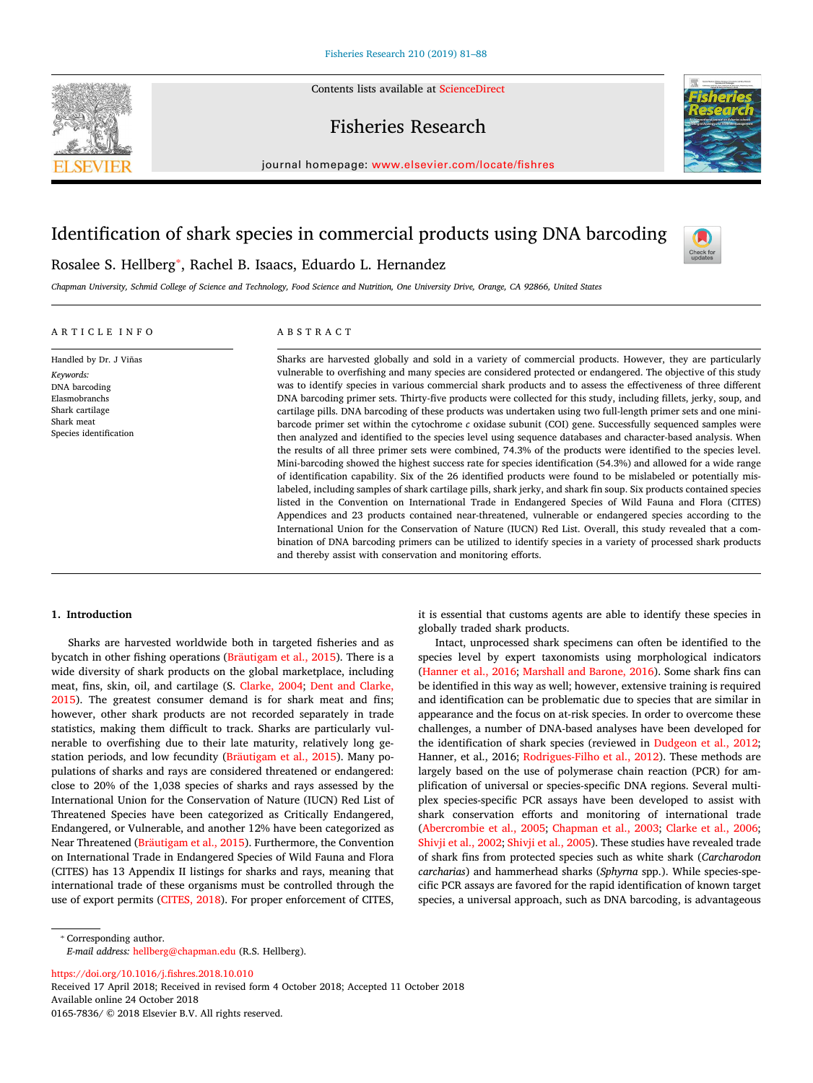Contents lists available at [ScienceDirect](http://www.sciencedirect.com/science/journal/01657836)

# Fisheries Research



journal homepage: [www.elsevier.com/locate/fishres](https://www.elsevier.com/locate/fishres)

# Identification of shark species in commercial products using DNA barcoding



Rosalee S. Hellberg<sup>\*</sup>, Rachel B. Isaacs, Eduardo L. Hernandez

*Chapman University, Schmid College of Science and Technology, Food Science and Nutrition, One University Drive, Orange, CA 92866, United States*

# ARTICLE INFO

Handled by Dr. J Viñas *Keywords:* DNA barcoding Elasmobranchs Shark cartilage Shark meat Species identification

# ABSTRACT

Sharks are harvested globally and sold in a variety of commercial products. However, they are particularly vulnerable to overfishing and many species are considered protected or endangered. The objective of this study was to identify species in various commercial shark products and to assess the effectiveness of three different DNA barcoding primer sets. Thirty-five products were collected for this study, including fillets, jerky, soup, and cartilage pills. DNA barcoding of these products was undertaken using two full-length primer sets and one minibarcode primer set within the cytochrome *c* oxidase subunit (COI) gene. Successfully sequenced samples were then analyzed and identified to the species level using sequence databases and character-based analysis. When the results of all three primer sets were combined, 74.3% of the products were identified to the species level. Mini-barcoding showed the highest success rate for species identification (54.3%) and allowed for a wide range of identification capability. Six of the 26 identified products were found to be mislabeled or potentially mislabeled, including samples of shark cartilage pills, shark jerky, and shark fin soup. Six products contained species listed in the Convention on International Trade in Endangered Species of Wild Fauna and Flora (CITES) Appendices and 23 products contained near-threatened, vulnerable or endangered species according to the International Union for the Conservation of Nature (IUCN) Red List. Overall, this study revealed that a combination of DNA barcoding primers can be utilized to identify species in a variety of processed shark products and thereby assist with conservation and monitoring efforts.

# **1. Introduction**

Sharks are harvested worldwide both in targeted fisheries and as bycatch in other fishing operations([Bräutigam et al., 2015](#page-6-0)). There is a wide diversity of shark products on the global marketplace, including meat, fins, skin, oil, and cartilage (S. [Clarke, 2004;](#page-6-1) [Dent and Clarke,](#page-6-2) [2015\)](#page-6-2). The greatest consumer demand is for shark meat and fins; however, other shark products are not recorded separately in trade statistics, making them difficult to track. Sharks are particularly vulnerable to overfishing due to their late maturity, relatively long gestation periods, and low fecundity([Bräutigam et al., 2015\)](#page-6-0). Many populations of sharks and rays are considered threatened or endangered: close to 20% of the 1,038 species of sharks and rays assessed by the International Union for the Conservation of Nature (IUCN) Red List of Threatened Species have been categorized as Critically Endangered, Endangered, or Vulnerable, and another 12% have been categorized as Near Threatened [\(Bräutigam et al., 2015](#page-6-0)). Furthermore, the Convention on International Trade in Endangered Species of Wild Fauna and Flora (CITES) has 13 Appendix II listings for sharks and rays, meaning that international trade of these organisms must be controlled through the use of export permits([CITES, 2018\)](#page-6-3). For proper enforcement of CITES, it is essential that customs agents are able to identify these species in globally traded shark products.

Intact, unprocessed shark specimens can often be identified to the species level by expert taxonomists using morphological indicators ([Hanner et al., 2016](#page-6-4); [Marshall and Barone, 2016](#page-6-5)). Some shark fins can be identified in this way as well; however, extensive training is required and identification can be problematic due to species that are similar in appearance and the focus on at-risk species. In order to overcome these challenges, a number of DNA-based analyses have been developed for the identification of shark species (reviewed in [Dudgeon et al., 2012](#page-6-6); Hanner, et al., 2016; [Rodrigues-Filho et al., 2012\)](#page-6-7). These methods are largely based on the use of polymerase chain reaction (PCR) for amplification of universal or species-specific DNA regions. Several multiplex species-specific PCR assays have been developed to assist with shark conservation efforts and monitoring of international trade ([Abercrombie et al., 2005;](#page-6-8) [Chapman et al., 2003;](#page-6-9) [Clarke et al., 2006](#page-6-10); [Shivji et al., 2002;](#page-6-11) [Shivji et al., 2005](#page-6-12)). These studies have revealed trade of shark fins from protected species such as white shark (*Carcharodon carcharias*) and hammerhead sharks (*Sphyrna* spp.). While species-specific PCR assays are favored for the rapid identification of known target species, a universal approach, such as DNA barcoding, is advantageous

<span id="page-0-0"></span>⁎ Corresponding author.

*E-mail address:* [hellberg@chapman.edu](mailto:hellberg@chapman.edu) (R.S. Hellberg).

<https://doi.org/10.1016/j.fishres.2018.10.010>

Received 17 April 2018; Received in revised form 4 October 2018; Accepted 11 October 2018 Available online 24 October 2018

0165-7836/ © 2018 Elsevier B.V. All rights reserved.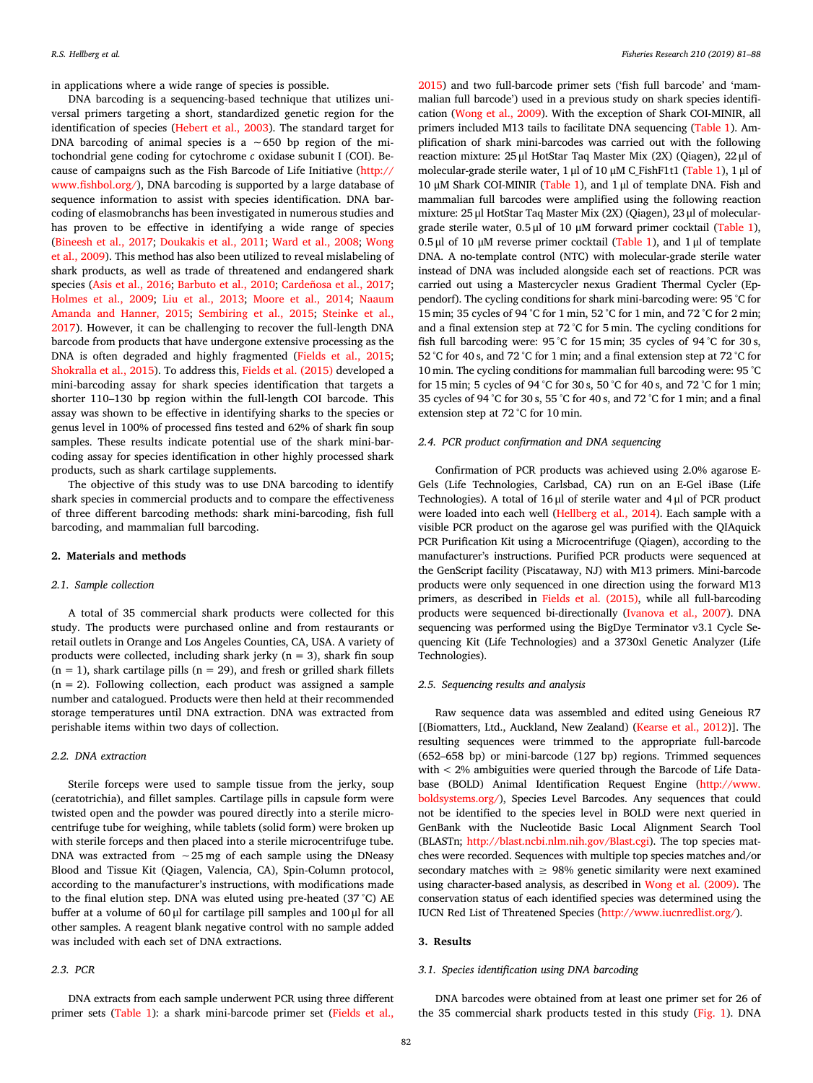in applications where a wide range of species is possible.

DNA barcoding is a sequencing-based technique that utilizes universal primers targeting a short, standardized genetic region for the identification of species [\(Hebert et al., 2003\)](#page-6-13). The standard target for DNA barcoding of animal species is a ∼650 bp region of the mitochondrial gene coding for cytochrome *c* oxidase subunit I (COI). Because of campaigns such as the Fish Barcode of Life Initiative [\(http://](http://www.fishbol.org/) [www.fishbol.org/](http://www.fishbol.org/)), DNA barcoding is supported by a large database of sequence information to assist with species identification. DNA barcoding of elasmobranchs has been investigated in numerous studies and has proven to be effective in identifying a wide range of species ([Bineesh et al., 2017](#page-6-14); [Doukakis et al., 2011](#page-6-15); [Ward et al., 2008](#page-7-0); [Wong](#page-7-1) [et al., 2009\)](#page-7-1). This method has also been utilized to reveal mislabeling of shark products, as well as trade of threatened and endangered shark species([Asis et al., 2016](#page-6-16); [Barbuto et al., 2010;](#page-6-17) [Cardeñosa et al., 2017](#page-6-18); [Holmes et al., 2009;](#page-6-19) [Liu et al., 2013](#page-6-20); [Moore et al., 2014;](#page-6-21) [Naaum](#page-6-22) [Amanda and Hanner, 2015](#page-6-22); [Sembiring et al., 2015](#page-6-23); [Steinke et al.,](#page-7-2) [2017\)](#page-7-2). However, it can be challenging to recover the full-length DNA barcode from products that have undergone extensive processing as the DNA is often degraded and highly fragmented([Fields et al., 2015](#page-6-24); [Shokralla et al., 2015\)](#page-7-3). To address this, [Fields et al. \(2015\)](#page-6-24) developed a mini-barcoding assay for shark species identification that targets a shorter 110–130 bp region within the full-length COI barcode. This assay was shown to be effective in identifying sharks to the species or genus level in 100% of processed fins tested and 62% of shark fin soup samples. These results indicate potential use of the shark mini-barcoding assay for species identification in other highly processed shark products, such as shark cartilage supplements.

The objective of this study was to use DNA barcoding to identify shark species in commercial products and to compare the effectiveness of three different barcoding methods: shark mini-barcoding, fish full barcoding, and mammalian full barcoding.

## **2. Materials and methods**

## *2.1. Sample collection*

A total of 35 commercial shark products were collected for this study. The products were purchased online and from restaurants or retail outlets in Orange and Los Angeles Counties, CA, USA. A variety of products were collected, including shark jerky ( $n = 3$ ), shark fin soup  $(n = 1)$ , shark cartilage pills  $(n = 29)$ , and fresh or grilled shark fillets  $(n = 2)$ . Following collection, each product was assigned a sample number and catalogued. Products were then held at their recommended storage temperatures until DNA extraction. DNA was extracted from perishable items within two days of collection.

### *2.2. DNA extraction*

Sterile forceps were used to sample tissue from the jerky, soup (ceratotrichia), and fillet samples. Cartilage pills in capsule form were twisted open and the powder was poured directly into a sterile microcentrifuge tube for weighing, while tablets (solid form) were broken up with sterile forceps and then placed into a sterile microcentrifuge tube. DNA was extracted from ∼25 mg of each sample using the DNeasy Blood and Tissue Kit (Qiagen, Valencia, CA), Spin-Column protocol, according to the manufacturer's instructions, with modifications made to the final elution step. DNA was eluted using pre-heated (37 °C) AE buffer at a volume of 60 μl for cartilage pill samples and 100 μl for all other samples. A reagent blank negative control with no sample added was included with each set of DNA extractions.

## *2.3. PCR*

DNA extracts from each sample underwent PCR using three different primer sets [\(Table 1](#page-2-0)):a shark mini-barcode primer set ([Fields et al.,](#page-6-24)

[2015](#page-6-24)) and two full-barcode primer sets ('fish full barcode' and 'mammalian full barcode') used in a previous study on shark species identification([Wong et al., 2009\)](#page-7-1). With the exception of Shark COI-MINIR, all primers included M13 tails to facilitate DNA sequencing [\(Table 1](#page-2-0)). Amplification of shark mini-barcodes was carried out with the following reaction mixture: 25 μl HotStar Taq Master Mix (2X) (Qiagen), 22 μl of molecular-grade sterile water, 1 μl of 10 μM C\_FishF1t1 [\(Table 1\)](#page-2-0), 1 μl of 10 μM Shark COI-MINIR([Table 1](#page-2-0)), and 1 μl of template DNA. Fish and mammalian full barcodes were amplified using the following reaction mixture: 25 μl HotStar Taq Master Mix (2X) (Qiagen), 23 μl of moleculargrade sterile water, 0.5 μl of 10 μM forward primer cocktail([Table 1\)](#page-2-0), 0.5 μl of 10 μM reverse primer cocktail([Table 1](#page-2-0)), and 1 μl of template DNA. A no-template control (NTC) with molecular-grade sterile water instead of DNA was included alongside each set of reactions. PCR was carried out using a Mastercycler nexus Gradient Thermal Cycler (Eppendorf). The cycling conditions for shark mini-barcoding were: 95 °C for 15 min; 35 cycles of 94 °C for 1 min, 52 °C for 1 min, and 72 °C for 2 min; and a final extension step at 72 °C for 5 min. The cycling conditions for fish full barcoding were: 95 °C for 15 min; 35 cycles of 94 °C for 30 s, 52 °C for 40 s, and 72 °C for 1 min; and a final extension step at 72 °C for 10 min. The cycling conditions for mammalian full barcoding were: 95 °C for 15 min; 5 cycles of 94 °C for 30 s, 50 °C for 40 s, and 72 °C for 1 min; 35 cycles of 94 °C for 30 s, 55 °C for 40 s, and 72 °C for 1 min; and a final extension step at 72 °C for 10 min.

### *2.4. PCR product confirmation and DNA sequencing*

Confirmation of PCR products was achieved using 2.0% agarose E-Gels (Life Technologies, Carlsbad, CA) run on an E-Gel iBase (Life Technologies). A total of 16 μl of sterile water and 4 μl of PCR product were loaded into each well([Hellberg et al., 2014\)](#page-6-25). Each sample with a visible PCR product on the agarose gel was purified with the QIAquick PCR Purification Kit using a Microcentrifuge (Qiagen), according to the manufacturer's instructions. Purified PCR products were sequenced at the GenScript facility (Piscataway, NJ) with M13 primers. Mini-barcode products were only sequenced in one direction using the forward M13 primers, as described in [Fields et al. \(2015\),](#page-6-24) while all full-barcoding products were sequenced bi-directionally [\(Ivanova et al., 2007](#page-6-26)). DNA sequencing was performed using the BigDye Terminator v3.1 Cycle Sequencing Kit (Life Technologies) and a 3730xl Genetic Analyzer (Life Technologies).

### *2.5. Sequencing results and analysis*

Raw sequence data was assembled and edited using Geneious R7 [(Biomatters, Ltd., Auckland, New Zealand)([Kearse et al., 2012](#page-6-27))]. The resulting sequences were trimmed to the appropriate full-barcode (652–658 bp) or mini-barcode (127 bp) regions. Trimmed sequences with < 2% ambiguities were queried through the Barcode of Life Database (BOLD) Animal Identification Request Engine [\(http://www.](http://www.boldsystems.org/) [boldsystems.org/\)](http://www.boldsystems.org/), Species Level Barcodes. Any sequences that could not be identified to the species level in BOLD were next queried in GenBank with the Nucleotide Basic Local Alignment Search Tool (BLASTn; [http://blast.ncbi.nlm.nih.gov/Blast.cgi\)](http://blast.ncbi.nlm.nih.gov/Blast.cgi). The top species matches were recorded. Sequences with multiple top species matches and/or secondary matches with  $\geq$  98% genetic similarity were next examined using character-based analysis, as described in [Wong et al. \(2009\).](#page-7-1) The conservation status of each identified species was determined using the IUCN Red List of Threatened Species(<http://www.iucnredlist.org/>).

### **3. Results**

### *3.1. Species identification using DNA barcoding*

DNA barcodes were obtained from at least one primer set for 26 of the 35 commercial shark products tested in this study [\(Fig. 1](#page-3-0)). DNA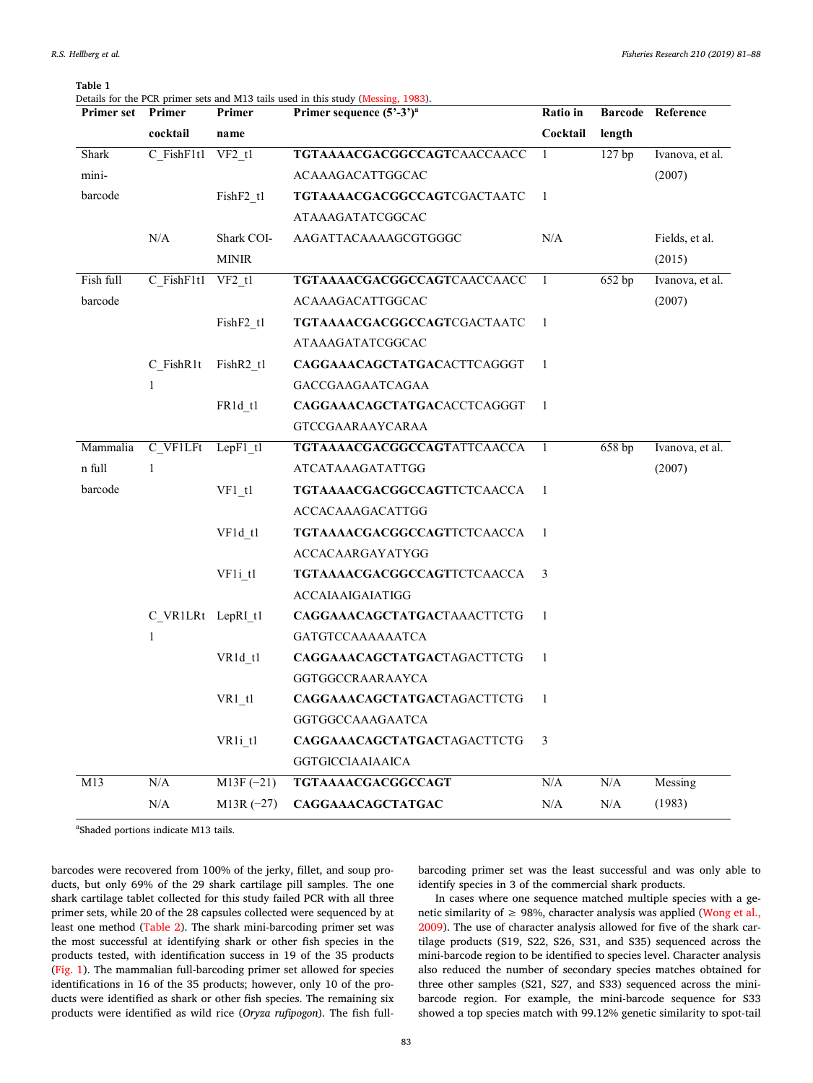| Primer set | Primer            | Details for the PCR primer sets and M13 tails used in this study (Messing, 1983).<br>Primer<br>Primer sequence $(5^{\circ}-3^{\circ})^{\mathrm{a}}$ |                                    | Ratio in     |           | <b>Barcode Reference</b> |
|------------|-------------------|-----------------------------------------------------------------------------------------------------------------------------------------------------|------------------------------------|--------------|-----------|--------------------------|
|            | cocktail          | name                                                                                                                                                |                                    | Cocktail     | length    |                          |
| Shark      | C FishF1t1        | $VF2_t1$                                                                                                                                            | TGTAAAACGACGGCCAGTCAACCAACC        | 1            | 127 bp    | Ivanova, et al.          |
| mini-      |                   |                                                                                                                                                     | ACAAAGACATTGGCAC                   |              |           | (2007)                   |
| barcode    |                   | FishF2 t1                                                                                                                                           | <b>TGTAAAACGACGGCCAGTCGACTAATC</b> | $\mathbf{1}$ |           |                          |
|            |                   |                                                                                                                                                     | ATAAAGATATCGGCAC                   |              |           |                          |
|            | N/A               | Shark COI-                                                                                                                                          | AAGATTACAAAAGCGTGGGC               | N/A          |           | Fields, et al.           |
|            |                   | <b>MINIR</b>                                                                                                                                        |                                    |              |           | (2015)                   |
| Fish full  | C FishF1t1        | VF2 t1                                                                                                                                              | TGTAAAACGACGGCCAGTCAACCAACC        | -1           | 652 bp    | Ivanova, et al.          |
| barcode    |                   |                                                                                                                                                     | ACAAAGACATTGGCAC                   |              |           | (2007)                   |
|            |                   | FishF2 t1                                                                                                                                           | <b>TGTAAAACGACGGCCAGTCGACTAATC</b> | 1            |           |                          |
|            |                   |                                                                                                                                                     | ATAAAGATATCGGCAC                   |              |           |                          |
|            | C FishR1t         | FishR <sub>2</sub> t <sub>1</sub>                                                                                                                   | CAGGAAACAGCTATGACACTTCAGGGT        | -1           |           |                          |
|            | 1                 |                                                                                                                                                     | <b>GACCGAAGAATCAGAA</b>            |              |           |                          |
|            |                   | FR1d t1                                                                                                                                             | CAGGAAACAGCTATGACACCTCAGGGT        | $\mathbf{1}$ |           |                          |
|            |                   |                                                                                                                                                     | <b>GTCCGAARAAYCARAA</b>            |              |           |                          |
| Mammalia   | C VF1LFt          | Lep $F1$ tl                                                                                                                                         | <b>TGTAAAACGACGGCCAGTATTCAACCA</b> | -1           | 658bp     | Ivanova, et al.          |
| n full     | 1                 |                                                                                                                                                     | ATCATAAAGATATTGG                   |              |           | (2007)                   |
| barcode    |                   | VF1 t1                                                                                                                                              | <b>TGTAAAACGACGGCCAGTTCTCAACCA</b> | -1           |           |                          |
|            |                   |                                                                                                                                                     | ACCACAAAGACATTGG                   |              |           |                          |
|            |                   | VF1d t1                                                                                                                                             | <b>TGTAAAACGACGGCCAGTTCTCAACCA</b> | $\mathbf{1}$ |           |                          |
|            |                   |                                                                                                                                                     | ACCACAARGAYATYGG                   |              |           |                          |
|            |                   | VF1i tl                                                                                                                                             | <b>TGTAAAACGACGGCCAGTTCTCAACCA</b> | 3            |           |                          |
|            |                   |                                                                                                                                                     | ACCAIAAIGAIATIGG                   |              |           |                          |
|            | C VR1LRt LepRI t1 |                                                                                                                                                     | CAGGAAACAGCTATGACTAAACTTCTG        | 1            |           |                          |
|            | 1                 |                                                                                                                                                     | <b>GATGTCCAAAAAAATCA</b>           |              |           |                          |
|            |                   | VR <sub>1</sub> d <sub>t1</sub>                                                                                                                     | CAGGAAACAGCTATGACTAGACTTCTG        | 1            |           |                          |
|            |                   |                                                                                                                                                     | GGTGGCCRAARAAYCA                   |              |           |                          |
|            |                   | VR1 tl                                                                                                                                              | CAGGAAACAGCTATGACTAGACTTCTG        | 1            |           |                          |
|            |                   |                                                                                                                                                     | GGTGGCCAAAGAATCA                   |              |           |                          |
|            |                   | VR1i t1                                                                                                                                             | CAGGAAACAGCTATGACTAGACTTCTG        | 3            |           |                          |
|            |                   |                                                                                                                                                     | <b>GGTGICCIAAIAAICA</b>            |              |           |                          |
| M13        | N/A               | $M13F(-21)$                                                                                                                                         | TGTAAAACGACGGCCAGT                 | N/A          | $\rm N/A$ | Messing                  |
|            | $\rm N/A$         | $M13R$ (-27)                                                                                                                                        | CAGGAAACAGCTATGAC                  | $\rm N/A$    | $\rm N/A$ | (1983)                   |

<span id="page-2-0"></span>**Table 1** Details for the PCR primer sets and M13 tails used in this study([Messing, 1983\)](#page-6-28).

<sup>a</sup>Shaded portions indicate M13 tails.

barcodes were recovered from 100% of the jerky, fillet, and soup products, but only 69% of the 29 shark cartilage pill samples. The one shark cartilage tablet collected for this study failed PCR with all three primer sets, while 20 of the 28 capsules collected were sequenced by at least one method [\(Table 2](#page-3-1)). The shark mini-barcoding primer set was the most successful at identifying shark or other fish species in the products tested, with identification success in 19 of the 35 products ([Fig. 1\)](#page-3-0). The mammalian full-barcoding primer set allowed for species identifications in 16 of the 35 products; however, only 10 of the products were identified as shark or other fish species. The remaining six products were identified as wild rice (*Oryza rufipogon*). The fish fullbarcoding primer set was the least successful and was only able to identify species in 3 of the commercial shark products.

In cases where one sequence matched multiple species with a genetic similarity of  $\geq$  98%, character analysis was applied [\(Wong et al.,](#page-7-1) [2009\)](#page-7-1). The use of character analysis allowed for five of the shark cartilage products (S19, S22, S26, S31, and S35) sequenced across the mini-barcode region to be identified to species level. Character analysis also reduced the number of secondary species matches obtained for three other samples (S21, S27, and S33) sequenced across the minibarcode region. For example, the mini-barcode sequence for S33 showed a top species match with 99.12% genetic similarity to spot-tail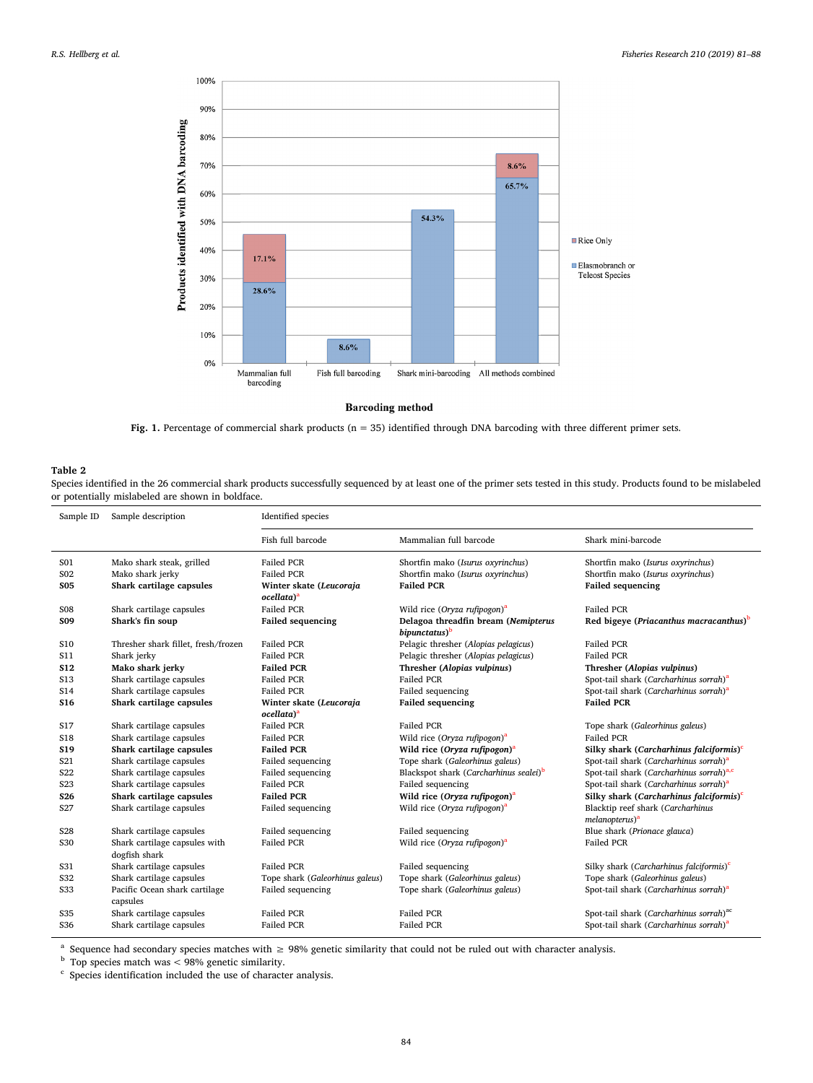<span id="page-3-0"></span>

**Barcoding method** 

Fig. 1. Percentage of commercial shark products (n = 35) identified through DNA barcoding with three different primer sets.

# <span id="page-3-1"></span>**Table 2**

Species identified in the 26 commercial shark products successfully sequenced by at least one of the primer sets tested in this study. Products found to be mislabeled or potentially mislabeled are shown in boldface.

| Sample ID       | Sample description                             | Identified species                                |                                                                  |                                                                 |  |  |
|-----------------|------------------------------------------------|---------------------------------------------------|------------------------------------------------------------------|-----------------------------------------------------------------|--|--|
|                 |                                                | Fish full barcode                                 | Mammalian full barcode                                           | Shark mini-barcode                                              |  |  |
| S01             | Mako shark steak, grilled                      | <b>Failed PCR</b>                                 | Shortfin mako (Isurus oxyrinchus)                                | Shortfin mako (Isurus oxyrinchus)                               |  |  |
| S <sub>02</sub> | Mako shark jerky                               | <b>Failed PCR</b>                                 | Shortfin mako (Isurus oxyrinchus)                                | Shortfin mako (Isurus oxyrinchus)                               |  |  |
| <b>S05</b>      | Shark cartilage capsules                       | Winter skate (Leucoraja<br>ocellata) <sup>a</sup> | <b>Failed PCR</b>                                                | <b>Failed sequencing</b>                                        |  |  |
| <b>S08</b>      | Shark cartilage capsules                       | <b>Failed PCR</b>                                 | Wild rice (Oryza rufipogon) <sup>a</sup>                         | <b>Failed PCR</b>                                               |  |  |
| <b>SO9</b>      | Shark's fin soup                               | <b>Failed sequencing</b>                          | Delagoa threadfin bream (Nemipterus<br>bipunctatus) <sup>b</sup> | Red bigeye (Priacanthus macracanthus) <sup>b</sup>              |  |  |
| S <sub>10</sub> | Thresher shark fillet, fresh/frozen            | <b>Failed PCR</b>                                 | Pelagic thresher (Alopias pelagicus)                             | <b>Failed PCR</b>                                               |  |  |
| S11             | Shark jerky                                    | <b>Failed PCR</b>                                 | Pelagic thresher (Alopias pelagicus)                             | <b>Failed PCR</b>                                               |  |  |
| <b>S12</b>      | Mako shark jerky                               | <b>Failed PCR</b>                                 | Thresher (Alopias vulpinus)                                      | Thresher (Alopias vulpinus)                                     |  |  |
| S13             | Shark cartilage capsules                       | <b>Failed PCR</b>                                 | <b>Failed PCR</b>                                                | Spot-tail shark (Carcharhinus sorrah) <sup>a</sup>              |  |  |
| S14             | Shark cartilage capsules                       | <b>Failed PCR</b>                                 | Failed sequencing                                                | Spot-tail shark (Carcharhinus sorrah) <sup>a</sup>              |  |  |
| <b>S16</b>      | Shark cartilage capsules                       | Winter skate (Leucoraja                           | <b>Failed sequencing</b>                                         | <b>Failed PCR</b>                                               |  |  |
|                 |                                                | ocellata) <sup>a</sup>                            |                                                                  |                                                                 |  |  |
| S17             | Shark cartilage capsules                       | <b>Failed PCR</b>                                 | <b>Failed PCR</b>                                                | Tope shark (Galeorhinus galeus)                                 |  |  |
| <b>S18</b>      | Shark cartilage capsules                       | <b>Failed PCR</b>                                 | Wild rice (Oryza rufipogon) <sup>a</sup>                         | Failed PCR                                                      |  |  |
| S <sub>19</sub> | Shark cartilage capsules                       | <b>Failed PCR</b>                                 | Wild rice (Oryza rufipogon) <sup>a</sup>                         | Silky shark (Carcharhinus falciformis) <sup>c</sup>             |  |  |
| S <sub>21</sub> | Shark cartilage capsules                       | Failed sequencing                                 | Tope shark (Galeorhinus galeus)                                  | Spot-tail shark (Carcharhinus sorrah) <sup>a</sup>              |  |  |
| <b>S22</b>      | Shark cartilage capsules                       | Failed sequencing                                 | Blackspot shark (Carcharhinus sealei) <sup>b</sup>               | Spot-tail shark (Carcharhinus sorrah) <sup>a,c</sup>            |  |  |
| S <sub>23</sub> | Shark cartilage capsules                       | Failed PCR                                        | Failed sequencing                                                | Spot-tail shark (Carcharhinus sorrah) <sup>a</sup>              |  |  |
| S <sub>26</sub> | Shark cartilage capsules                       | <b>Failed PCR</b>                                 | Wild rice (Oryza rufipogon) <sup>a</sup>                         | Silky shark (Carcharhinus falciformis) <sup>c</sup>             |  |  |
| S <sub>27</sub> | Shark cartilage capsules                       | Failed sequencing                                 | Wild rice (Oryza rufipogon) <sup>a</sup>                         | Blacktip reef shark (Carcharhinus<br>melanopterus) <sup>a</sup> |  |  |
| S <sub>28</sub> | Shark cartilage capsules                       | Failed sequencing                                 | Failed sequencing                                                | Blue shark (Prionace glauca)                                    |  |  |
| S30             | Shark cartilage capsules with<br>dogfish shark | Failed PCR                                        | Wild rice (Oryza rufipogon) <sup>a</sup>                         | <b>Failed PCR</b>                                               |  |  |
| S31             | Shark cartilage capsules                       | <b>Failed PCR</b>                                 | Failed sequencing                                                | Silky shark (Carcharhinus falciformis) $c$                      |  |  |
| S32             | Shark cartilage capsules                       | Tope shark (Galeorhinus galeus)                   | Tope shark (Galeorhinus galeus)                                  | Tope shark (Galeorhinus galeus)                                 |  |  |
| <b>S33</b>      | Pacific Ocean shark cartilage<br>capsules      | Failed sequencing                                 | Tope shark (Galeorhinus galeus)                                  | Spot-tail shark (Carcharhinus sorrah) <sup>a</sup>              |  |  |
| <b>S35</b>      | Shark cartilage capsules                       | <b>Failed PCR</b>                                 | <b>Failed PCR</b>                                                | Spot-tail shark (Carcharhinus sorrah) <sup>ac</sup>             |  |  |
| <b>S36</b>      | Shark cartilage capsules                       | Failed PCR                                        | <b>Failed PCR</b>                                                | Spot-tail shark (Carcharhinus sorrah) <sup>a</sup>              |  |  |

<span id="page-3-2"></span><sup>a</sup> Sequence had secondary species matches with  $\geq$  98% genetic similarity that could not be ruled out with character analysis.

<span id="page-3-3"></span><sup>b</sup> Top species match was < 98% genetic similarity.

<span id="page-3-4"></span><sup>c</sup> Species identification included the use of character analysis.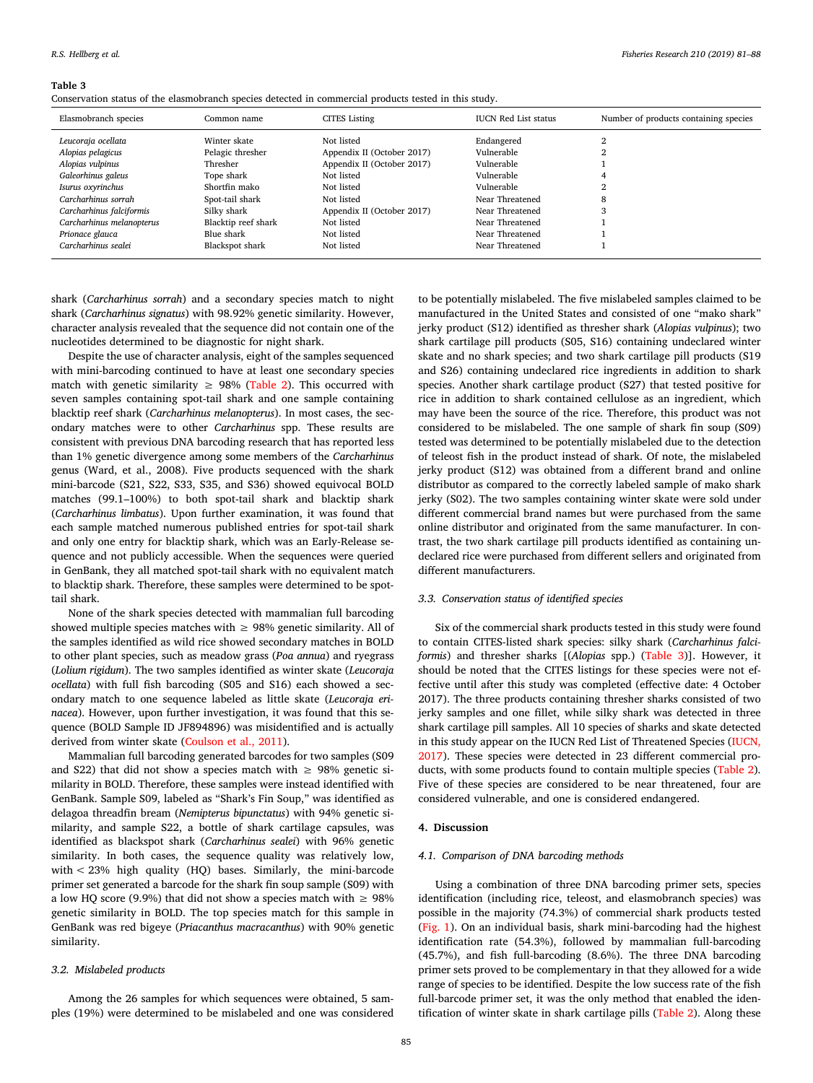### <span id="page-4-0"></span>**Table 3**

Conservation status of the elasmobranch species detected in commercial products tested in this study.

| Elasmobranch species      | Common name         | <b>CITES Listing</b>       | <b>IUCN Red List status</b> | Number of products containing species |
|---------------------------|---------------------|----------------------------|-----------------------------|---------------------------------------|
| Leucoraja ocellata        | Winter skate        | Not listed                 | Endangered                  |                                       |
| Alopias pelagicus         | Pelagic thresher    | Appendix II (October 2017) | Vulnerable                  |                                       |
| Alopias vulpinus          | Thresher            | Appendix II (October 2017) | Vulnerable                  |                                       |
| Galeorhinus galeus        | Tope shark          | Not listed                 | Vulnerable                  |                                       |
| Isurus oxyrinchus         | Shortfin mako       | Not listed                 | Vulnerable                  |                                       |
| Carcharhinus sorrah       | Spot-tail shark     | Not listed                 | Near Threatened             | 8                                     |
| Carcharhinus falciformis  | Silky shark         | Appendix II (October 2017) | Near Threatened             | $\Omega$<br>J.                        |
| Carcharhinus melanopterus | Blacktip reef shark | Not listed                 | Near Threatened             |                                       |
| Prionace glauca           | Blue shark          | Not listed                 | Near Threatened             |                                       |
| Carcharhinus sealei       | Blackspot shark     | Not listed                 | Near Threatened             |                                       |

shark (*Carcharhinus sorrah*) and a secondary species match to night shark (*Carcharhinus signatus*) with 98.92% genetic similarity. However, character analysis revealed that the sequence did not contain one of the nucleotides determined to be diagnostic for night shark.

Despite the use of character analysis, eight of the samples sequenced with mini-barcoding continued to have at least one secondary species match with genetic similarity  $\geq$  98% [\(Table 2\)](#page-3-1). This occurred with seven samples containing spot-tail shark and one sample containing blacktip reef shark (*Carcharhinus melanopterus*). In most cases, the secondary matches were to other *Carcharhinus* spp. These results are consistent with previous DNA barcoding research that has reported less than 1% genetic divergence among some members of the *Carcharhinus* genus (Ward, et al., 2008). Five products sequenced with the shark mini-barcode (S21, S22, S33, S35, and S36) showed equivocal BOLD matches (99.1–100%) to both spot-tail shark and blacktip shark (*Carcharhinus limbatus*). Upon further examination, it was found that each sample matched numerous published entries for spot-tail shark and only one entry for blacktip shark, which was an Early-Release sequence and not publicly accessible. When the sequences were queried in GenBank, they all matched spot-tail shark with no equivalent match to blacktip shark. Therefore, these samples were determined to be spottail shark.

None of the shark species detected with mammalian full barcoding showed multiple species matches with  $\geq$  98% genetic similarity. All of the samples identified as wild rice showed secondary matches in BOLD to other plant species, such as meadow grass (*Poa annua*) and ryegrass (*Lolium rigidum*). The two samples identified as winter skate (*Leucoraja ocellata*) with full fish barcoding (S05 and S16) each showed a secondary match to one sequence labeled as little skate (*Leucoraja erinacea*). However, upon further investigation, it was found that this sequence (BOLD Sample ID JF894896) was misidentified and is actually derived from winter skate([Coulson et al., 2011](#page-6-29)).

Mammalian full barcoding generated barcodes for two samples (S09 and S22) that did not show a species match with  $\geq$  98% genetic similarity in BOLD. Therefore, these samples were instead identified with GenBank. Sample S09, labeled as "Shark's Fin Soup," was identified as delagoa threadfin bream (*Nemipterus bipunctatus*) with 94% genetic similarity, and sample S22, a bottle of shark cartilage capsules, was identified as blackspot shark (*Carcharhinus sealei*) with 96% genetic similarity. In both cases, the sequence quality was relatively low, with < 23% high quality (HQ) bases. Similarly, the mini-barcode primer set generated a barcode for the shark fin soup sample (S09) with a low HQ score (9.9%) that did not show a species match with  $\geq$  98% genetic similarity in BOLD. The top species match for this sample in GenBank was red bigeye (*Priacanthus macracanthus*) with 90% genetic similarity.

### *3.2. Mislabeled products*

Among the 26 samples for which sequences were obtained, 5 samples (19%) were determined to be mislabeled and one was considered to be potentially mislabeled. The five mislabeled samples claimed to be manufactured in the United States and consisted of one "mako shark" jerky product (S12) identified as thresher shark (*Alopias vulpinus*); two shark cartilage pill products (S05, S16) containing undeclared winter skate and no shark species; and two shark cartilage pill products (S19 and S26) containing undeclared rice ingredients in addition to shark species. Another shark cartilage product (S27) that tested positive for rice in addition to shark contained cellulose as an ingredient, which may have been the source of the rice. Therefore, this product was not considered to be mislabeled. The one sample of shark fin soup (S09) tested was determined to be potentially mislabeled due to the detection of teleost fish in the product instead of shark. Of note, the mislabeled jerky product (S12) was obtained from a different brand and online distributor as compared to the correctly labeled sample of mako shark jerky (S02). The two samples containing winter skate were sold under different commercial brand names but were purchased from the same online distributor and originated from the same manufacturer. In contrast, the two shark cartilage pill products identified as containing undeclared rice were purchased from different sellers and originated from different manufacturers.

## *3.3. Conservation status of identified species*

Six of the commercial shark products tested in this study were found to contain CITES-listed shark species: silky shark (*Carcharhinus falciformis*) and thresher sharks [(*Alopias* spp.)([Table 3](#page-4-0))]. However, it should be noted that the CITES listings for these species were not effective until after this study was completed (effective date: 4 October 2017). The three products containing thresher sharks consisted of two jerky samples and one fillet, while silky shark was detected in three shark cartilage pill samples. All 10 species of sharks and skate detected in this study appear on the IUCN Red List of Threatened Species [\(IUCN,](#page-6-30) [2017\)](#page-6-30). These species were detected in 23 different commercial products, with some products found to contain multiple species([Table 2](#page-3-1)). Five of these species are considered to be near threatened, four are considered vulnerable, and one is considered endangered.

# **4. Discussion**

### *4.1. Comparison of DNA barcoding methods*

Using a combination of three DNA barcoding primer sets, species identification (including rice, teleost, and elasmobranch species) was possible in the majority (74.3%) of commercial shark products tested ([Fig. 1](#page-3-0)). On an individual basis, shark mini-barcoding had the highest identification rate (54.3%), followed by mammalian full-barcoding (45.7%), and fish full-barcoding (8.6%). The three DNA barcoding primer sets proved to be complementary in that they allowed for a wide range of species to be identified. Despite the low success rate of the fish full-barcode primer set, it was the only method that enabled the identification of winter skate in shark cartilage pills([Table 2](#page-3-1)). Along these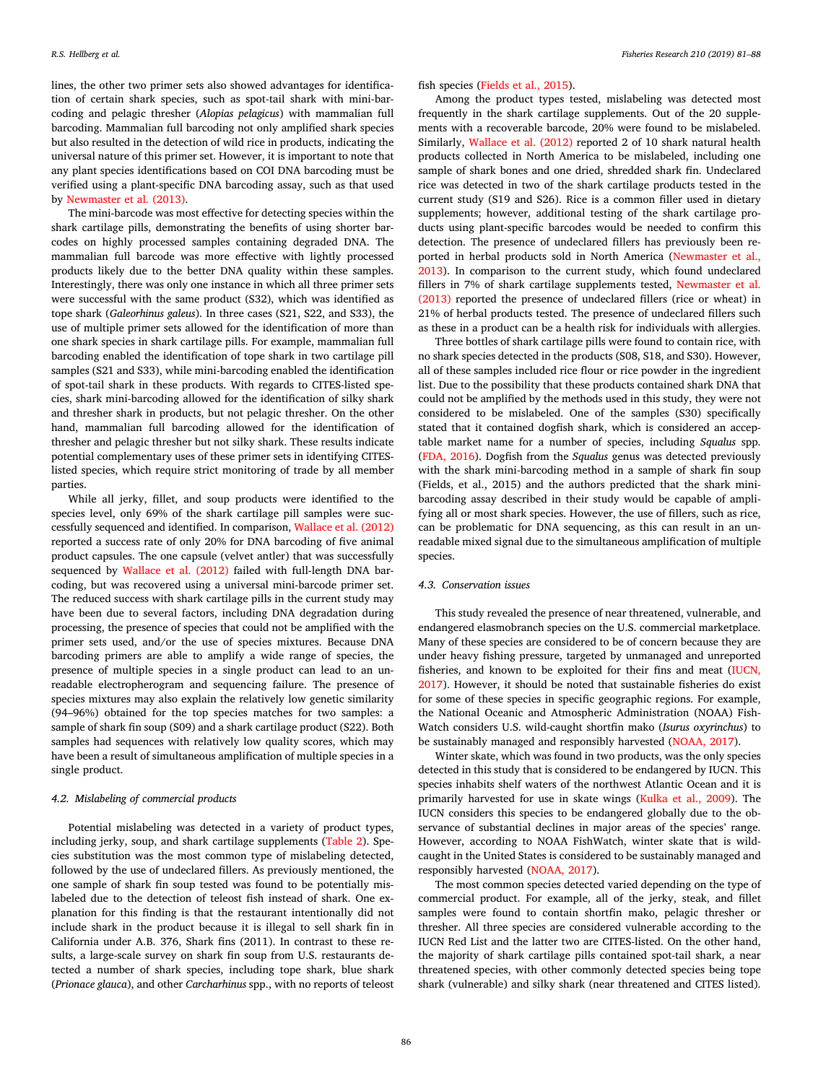lines, the other two primer sets also showed advantages for identification of certain shark species, such as spot-tail shark with mini-barcoding and pelagic thresher (*Alopias pelagicus*) with mammalian full barcoding. Mammalian full barcoding not only amplified shark species but also resulted in the detection of wild rice in products, indicating the universal nature of this primer set. However, it is important to note that any plant species identifications based on COI DNA barcoding must be verified using a plant-specific DNA barcoding assay, such as that used by [Newmaster et al. \(2013\).](#page-6-31)

The mini-barcode was most effective for detecting species within the shark cartilage pills, demonstrating the benefits of using shorter barcodes on highly processed samples containing degraded DNA. The mammalian full barcode was more effective with lightly processed products likely due to the better DNA quality within these samples. Interestingly, there was only one instance in which all three primer sets were successful with the same product (S32), which was identified as tope shark (*Galeorhinus galeus*). In three cases (S21, S22, and S33), the use of multiple primer sets allowed for the identification of more than one shark species in shark cartilage pills. For example, mammalian full barcoding enabled the identification of tope shark in two cartilage pill samples (S21 and S33), while mini-barcoding enabled the identification of spot-tail shark in these products. With regards to CITES-listed species, shark mini-barcoding allowed for the identification of silky shark and thresher shark in products, but not pelagic thresher. On the other hand, mammalian full barcoding allowed for the identification of thresher and pelagic thresher but not silky shark. These results indicate potential complementary uses of these primer sets in identifying CITESlisted species, which require strict monitoring of trade by all member parties.

While all jerky, fillet, and soup products were identified to the species level, only 69% of the shark cartilage pill samples were successfully sequenced and identified. In comparison, [Wallace et al. \(2012\)](#page-7-4) reported a success rate of only 20% for DNA barcoding of five animal product capsules. The one capsule (velvet antler) that was successfully sequenced by [Wallace et al. \(2012\)](#page-7-4) failed with full-length DNA barcoding, but was recovered using a universal mini-barcode primer set. The reduced success with shark cartilage pills in the current study may have been due to several factors, including DNA degradation during processing, the presence of species that could not be amplified with the primer sets used, and/or the use of species mixtures. Because DNA barcoding primers are able to amplify a wide range of species, the presence of multiple species in a single product can lead to an unreadable electropherogram and sequencing failure. The presence of species mixtures may also explain the relatively low genetic similarity (94–96%) obtained for the top species matches for two samples: a sample of shark fin soup (S09) and a shark cartilage product (S22). Both samples had sequences with relatively low quality scores, which may have been a result of simultaneous amplification of multiple species in a single product.

# *4.2. Mislabeling of commercial products*

Potential mislabeling was detected in a variety of product types, including jerky, soup, and shark cartilage supplements([Table 2\)](#page-3-1). Species substitution was the most common type of mislabeling detected, followed by the use of undeclared fillers. As previously mentioned, the one sample of shark fin soup tested was found to be potentially mislabeled due to the detection of teleost fish instead of shark. One explanation for this finding is that the restaurant intentionally did not include shark in the product because it is illegal to sell shark fin in California under A.B. 376, Shark fins (2011). In contrast to these results, a large-scale survey on shark fin soup from U.S. restaurants detected a number of shark species, including tope shark, blue shark (*Prionace glauca*), and other *Carcharhinus* spp., with no reports of teleost

fish species [\(Fields et al., 2015\)](#page-6-24).

Among the product types tested, mislabeling was detected most frequently in the shark cartilage supplements. Out of the 20 supplements with a recoverable barcode, 20% were found to be mislabeled. Similarly, [Wallace et al. \(2012\)](#page-7-4) reported 2 of 10 shark natural health products collected in North America to be mislabeled, including one sample of shark bones and one dried, shredded shark fin. Undeclared rice was detected in two of the shark cartilage products tested in the current study (S19 and S26). Rice is a common filler used in dietary supplements; however, additional testing of the shark cartilage products using plant-specific barcodes would be needed to confirm this detection. The presence of undeclared fillers has previously been reported in herbal products sold in North America [\(Newmaster et al.,](#page-6-31) [2013\)](#page-6-31). In comparison to the current study, which found undeclared fillers in 7% of shark cartilage supplements tested, [Newmaster et al.](#page-6-31) [\(2013\)](#page-6-31) reported the presence of undeclared fillers (rice or wheat) in 21% of herbal products tested. The presence of undeclared fillers such as these in a product can be a health risk for individuals with allergies.

Three bottles of shark cartilage pills were found to contain rice, with no shark species detected in the products (S08, S18, and S30). However, all of these samples included rice flour or rice powder in the ingredient list. Due to the possibility that these products contained shark DNA that could not be amplified by the methods used in this study, they were not considered to be mislabeled. One of the samples (S30) specifically stated that it contained dogfish shark, which is considered an acceptable market name for a number of species, including *Squalus* spp. ([FDA, 2016\)](#page-6-32). Dogfish from the *Squalus* genus was detected previously with the shark mini-barcoding method in a sample of shark fin soup (Fields, et al., 2015) and the authors predicted that the shark minibarcoding assay described in their study would be capable of amplifying all or most shark species. However, the use of fillers, such as rice, can be problematic for DNA sequencing, as this can result in an unreadable mixed signal due to the simultaneous amplification of multiple species.

# *4.3. Conservation issues*

This study revealed the presence of near threatened, vulnerable, and endangered elasmobranch species on the U.S. commercial marketplace. Many of these species are considered to be of concern because they are under heavy fishing pressure, targeted by unmanaged and unreported fisheries, and known to be exploited for their fins and meat [\(IUCN,](#page-6-30) [2017\)](#page-6-30). However, it should be noted that sustainable fisheries do exist for some of these species in specific geographic regions. For example, the National Oceanic and Atmospheric Administration (NOAA) Fish-Watch considers U.S. wild-caught shortfin mako (*Isurus oxyrinchus*) to be sustainably managed and responsibly harvested([NOAA, 2017\)](#page-6-33).

Winter skate, which was found in two products, was the only species detected in this study that is considered to be endangered by IUCN. This species inhabits shelf waters of the northwest Atlantic Ocean and it is primarily harvested for use in skate wings [\(Kulka et al., 2009\)](#page-6-34). The IUCN considers this species to be endangered globally due to the observance of substantial declines in major areas of the species' range. However, according to NOAA FishWatch, winter skate that is wildcaught in the United States is considered to be sustainably managed and responsibly harvested [\(NOAA, 2017](#page-6-33)).

The most common species detected varied depending on the type of commercial product. For example, all of the jerky, steak, and fillet samples were found to contain shortfin mako, pelagic thresher or thresher. All three species are considered vulnerable according to the IUCN Red List and the latter two are CITES-listed. On the other hand, the majority of shark cartilage pills contained spot-tail shark, a near threatened species, with other commonly detected species being tope shark (vulnerable) and silky shark (near threatened and CITES listed).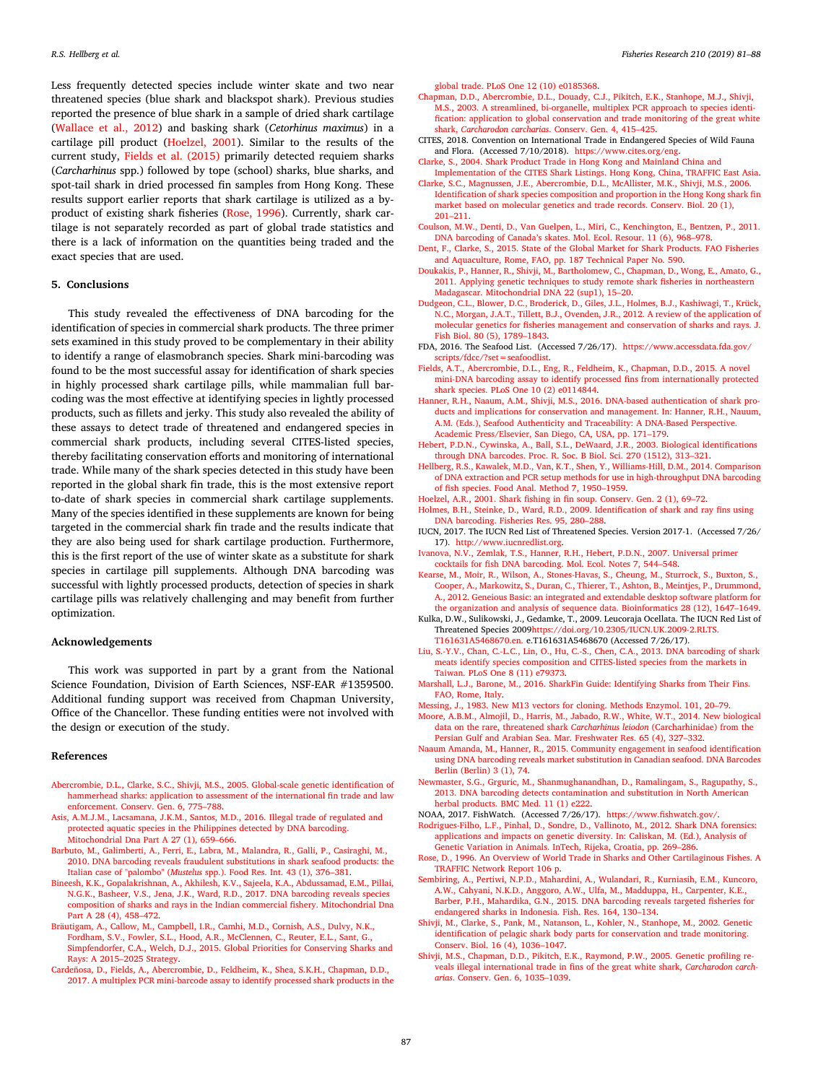Less frequently detected species include winter skate and two near threatened species (blue shark and blackspot shark). Previous studies reported the presence of blue shark in a sample of dried shark cartilage ([Wallace et al., 2012\)](#page-7-4) and basking shark (*Cetorhinus maximus*) in a cartilage pill product([Hoelzel, 2001\)](#page-6-35). Similar to the results of the current study, [Fields et al. \(2015\)](#page-6-24) primarily detected requiem sharks (*Carcharhinus* spp.) followed by tope (school) sharks, blue sharks, and spot-tail shark in dried processed fin samples from Hong Kong. These results support earlier reports that shark cartilage is utilized as a byproduct of existing shark fisheries [\(Rose, 1996\)](#page-6-36). Currently, shark cartilage is not separately recorded as part of global trade statistics and there is a lack of information on the quantities being traded and the exact species that are used.

## **5. Conclusions**

This study revealed the effectiveness of DNA barcoding for the identification of species in commercial shark products. The three primer sets examined in this study proved to be complementary in their ability to identify a range of elasmobranch species. Shark mini-barcoding was found to be the most successful assay for identification of shark species in highly processed shark cartilage pills, while mammalian full barcoding was the most effective at identifying species in lightly processed products, such as fillets and jerky. This study also revealed the ability of these assays to detect trade of threatened and endangered species in commercial shark products, including several CITES-listed species, thereby facilitating conservation efforts and monitoring of international trade. While many of the shark species detected in this study have been reported in the global shark fin trade, this is the most extensive report to-date of shark species in commercial shark cartilage supplements. Many of the species identified in these supplements are known for being targeted in the commercial shark fin trade and the results indicate that they are also being used for shark cartilage production. Furthermore, this is the first report of the use of winter skate as a substitute for shark species in cartilage pill supplements. Although DNA barcoding was successful with lightly processed products, detection of species in shark cartilage pills was relatively challenging and may benefit from further optimization.

### **Acknowledgements**

This work was supported in part by a grant from the National Science Foundation, Division of Earth Sciences, NSF-EAR #1359500. Additional funding support was received from Chapman University, Office of the Chancellor. These funding entities were not involved with the design or execution of the study.

#### **References**

- <span id="page-6-8"></span>[Abercrombie, D.L., Clarke, S.C., Shivji, M.S., 2005. Global-scale genetic](http://refhub.elsevier.com/S0165-7836(18)30279-0/sbref0005) identification of [hammerhead sharks: application to assessment of the international fin](http://refhub.elsevier.com/S0165-7836(18)30279-0/sbref0005) trade and law [enforcement. Conserv. Gen. 6, 775–788](http://refhub.elsevier.com/S0165-7836(18)30279-0/sbref0005).
- <span id="page-6-16"></span>[Asis, A.M.J.M., Lacsamana, J.K.M., Santos, M.D., 2016. Illegal trade of regulated and](http://refhub.elsevier.com/S0165-7836(18)30279-0/sbref0010) [protected aquatic species in the Philippines detected by DNA barcoding.](http://refhub.elsevier.com/S0165-7836(18)30279-0/sbref0010) [Mitochondrial Dna Part A 27 \(1\), 659–666.](http://refhub.elsevier.com/S0165-7836(18)30279-0/sbref0010)
- <span id="page-6-17"></span>[Barbuto, M., Galimberti, A., Ferri, E., Labra, M., Malandra, R., Galli, P., Casiraghi, M.,](http://refhub.elsevier.com/S0165-7836(18)30279-0/sbref0015) [2010. DNA barcoding reveals fraudulent substitutions in shark seafood products: the](http://refhub.elsevier.com/S0165-7836(18)30279-0/sbref0015) Italian case of "palombo" (*Mustelus* [spp.\). Food Res. Int. 43 \(1\), 376–381](http://refhub.elsevier.com/S0165-7836(18)30279-0/sbref0015).
- <span id="page-6-14"></span>[Bineesh, K.K., Gopalakrishnan, A., Akhilesh, K.V., Sajeela, K.A., Abdussamad, E.M., Pillai,](http://refhub.elsevier.com/S0165-7836(18)30279-0/sbref0020) [N.G.K., Basheer, V.S., Jena, J.K., Ward, R.D., 2017. DNA barcoding reveals species](http://refhub.elsevier.com/S0165-7836(18)30279-0/sbref0020) [composition of sharks and rays in the Indian commercial fishery. Mitochondrial Dna](http://refhub.elsevier.com/S0165-7836(18)30279-0/sbref0020) [Part A 28 \(4\), 458–472](http://refhub.elsevier.com/S0165-7836(18)30279-0/sbref0020).
- <span id="page-6-0"></span>[Bräutigam, A., Callow, M., Campbell, I.R., Camhi, M.D., Cornish, A.S., Dulvy, N.K.,](http://refhub.elsevier.com/S0165-7836(18)30279-0/sbref0025) [Fordham, S.V., Fowler, S.L., Hood, A.R., McClennen, C., Reuter, E.L., Sant, G.,](http://refhub.elsevier.com/S0165-7836(18)30279-0/sbref0025) [Simpfendorfer, C.A., Welch, D.J., 2015. Global Priorities for Conserving Sharks and](http://refhub.elsevier.com/S0165-7836(18)30279-0/sbref0025) [Rays: A 2015–2025 Strategy](http://refhub.elsevier.com/S0165-7836(18)30279-0/sbref0025).
- <span id="page-6-18"></span>[Cardeñosa, D., Fields, A., Abercrombie, D., Feldheim, K., Shea, S.K.H., Chapman, D.D.,](http://refhub.elsevier.com/S0165-7836(18)30279-0/sbref0030) [2017. A multiplex PCR mini-barcode assay to identify processed shark products](http://refhub.elsevier.com/S0165-7836(18)30279-0/sbref0030) in the

[global trade. PLoS One 12 \(10\) e0185368.](http://refhub.elsevier.com/S0165-7836(18)30279-0/sbref0030)

- <span id="page-6-9"></span>[Chapman, D.D., Abercrombie, D.L., Douady, C.J., Pikitch, E.K., Stanhope, M.J., Shivji,](http://refhub.elsevier.com/S0165-7836(18)30279-0/sbref0035) [M.S., 2003. A streamlined, bi-organelle, multiplex PCR approach to species](http://refhub.elsevier.com/S0165-7836(18)30279-0/sbref0035) identi[fication: application to global conservation and trade monitoring of the great white](http://refhub.elsevier.com/S0165-7836(18)30279-0/sbref0035) shark, *Carcharodon carcharias*[. Conserv. Gen. 4, 415–425](http://refhub.elsevier.com/S0165-7836(18)30279-0/sbref0035).
- <span id="page-6-3"></span>CITES, 2018. Convention on International Trade in Endangered Species of Wild Fauna and Flora. (Accessed 7/10/2018). <https://www.cites.org/eng>.
- <span id="page-6-1"></span>[Clarke, S., 2004. Shark Product Trade in Hong Kong and Mainland China and](http://refhub.elsevier.com/S0165-7836(18)30279-0/sbref0045) [Implementation of the CITES Shark Listings. Hong Kong, China, TRAFFIC East Asia.](http://refhub.elsevier.com/S0165-7836(18)30279-0/sbref0045) [Clarke, S.C., Magnussen, J.E., Abercrombie, D.L., McAllister, M.K., Shivji, M.S., 2006.](http://refhub.elsevier.com/S0165-7836(18)30279-0/sbref0050)
- <span id="page-6-10"></span>[Identification of shark species composition and proportion in the Hong Kong shark fin](http://refhub.elsevier.com/S0165-7836(18)30279-0/sbref0050) [market based on molecular genetics and trade records. Conserv. Biol. 20 \(1\),](http://refhub.elsevier.com/S0165-7836(18)30279-0/sbref0050) [201–211](http://refhub.elsevier.com/S0165-7836(18)30279-0/sbref0050).
- <span id="page-6-29"></span>[Coulson, M.W., Denti, D., Van Guelpen, L., Miri, C., Kenchington, E., Bentzen, P., 2011.](http://refhub.elsevier.com/S0165-7836(18)30279-0/sbref0055) [DNA barcoding of Canada's skates. Mol. Ecol. Resour. 11 \(6\), 968–978.](http://refhub.elsevier.com/S0165-7836(18)30279-0/sbref0055)
- <span id="page-6-2"></span>[Dent, F., Clarke, S., 2015. State of the Global Market for Shark Products. FAO Fisheries](http://refhub.elsevier.com/S0165-7836(18)30279-0/sbref0060) [and Aquaculture, Rome, FAO, pp. 187 Technical Paper No. 590](http://refhub.elsevier.com/S0165-7836(18)30279-0/sbref0060).
- <span id="page-6-15"></span>[Doukakis, P., Hanner, R., Shivji, M., Bartholomew, C., Chapman, D., Wong,](http://refhub.elsevier.com/S0165-7836(18)30279-0/sbref0065) E., Amato, G., [2011. Applying genetic techniques to study remote shark fisheries in northeastern](http://refhub.elsevier.com/S0165-7836(18)30279-0/sbref0065) [Madagascar. Mitochondrial DNA 22 \(sup1\), 15–20](http://refhub.elsevier.com/S0165-7836(18)30279-0/sbref0065).
- <span id="page-6-6"></span>[Dudgeon, C.L., Blower, D.C., Broderick, D., Giles, J.L., Holmes, B.J., Kashiwagi, T., Krück,](http://refhub.elsevier.com/S0165-7836(18)30279-0/sbref0070) [N.C., Morgan, J.A.T., Tillett, B.J., Ovenden, J.R., 2012. A review of the application of](http://refhub.elsevier.com/S0165-7836(18)30279-0/sbref0070) [molecular genetics for fisheries management and conservation of sharks and rays. J.](http://refhub.elsevier.com/S0165-7836(18)30279-0/sbref0070) [Fish Biol. 80 \(5\), 1789–1843.](http://refhub.elsevier.com/S0165-7836(18)30279-0/sbref0070)
- <span id="page-6-32"></span>FDA, 2016. The Seafood List. (Accessed 7/26/17). [https://www.accessdata.fda.gov/](https://www.accessdata.fda.gov/scripts/fdcc/?set=seafoodlist) [scripts/fdcc/?set=seafoodlist.](https://www.accessdata.fda.gov/scripts/fdcc/?set=seafoodlist)
- <span id="page-6-24"></span>[Fields, A.T., Abercrombie, D.L., Eng, R., Feldheim, K., Chapman, D.D., 2015. A novel](http://refhub.elsevier.com/S0165-7836(18)30279-0/sbref0080) [mini-DNA barcoding assay to identify processed fins from internationally protected](http://refhub.elsevier.com/S0165-7836(18)30279-0/sbref0080) [shark species. PLoS One 10 \(2\) e0114844](http://refhub.elsevier.com/S0165-7836(18)30279-0/sbref0080).
- <span id="page-6-4"></span>[Hanner, R.H., Naaum, A.M., Shivji, M.S., 2016. DNA-based authentication](http://refhub.elsevier.com/S0165-7836(18)30279-0/sbref0085) of shark pro[ducts and implications for conservation and management. In: Hanner, R.H., Nauum,](http://refhub.elsevier.com/S0165-7836(18)30279-0/sbref0085) [A.M. \(Eds.\), Seafood Authenticity and Traceability: A DNA-Based Perspective.](http://refhub.elsevier.com/S0165-7836(18)30279-0/sbref0085) [Academic Press/Elsevier, San Diego, CA, USA, pp. 171–179](http://refhub.elsevier.com/S0165-7836(18)30279-0/sbref0085).
- <span id="page-6-13"></span>[Hebert, P.D.N., Cywinska, A., Ball, S.L., DeWaard, J.R., 2003. Biological](http://refhub.elsevier.com/S0165-7836(18)30279-0/sbref0090) identifications [through DNA barcodes. Proc. R. Soc. B Biol. Sci. 270 \(1512\), 313–321.](http://refhub.elsevier.com/S0165-7836(18)30279-0/sbref0090)
- <span id="page-6-25"></span>[Hellberg, R.S., Kawalek, M.D., Van, K.T., Shen, Y., Williams-Hill,](http://refhub.elsevier.com/S0165-7836(18)30279-0/sbref0095) D.M., 2014. Comparison [of DNA extraction and PCR setup methods for use in high-throughput DNA barcoding](http://refhub.elsevier.com/S0165-7836(18)30279-0/sbref0095) [of fish species. Food Anal. Method 7, 1950–1959](http://refhub.elsevier.com/S0165-7836(18)30279-0/sbref0095).
- <span id="page-6-35"></span>[Hoelzel, A.R., 2001. Shark fishing in fin soup. Conserv. Gen. 2 \(1\), 69–72](http://refhub.elsevier.com/S0165-7836(18)30279-0/sbref0100).
- <span id="page-6-19"></span>[Holmes, B.H., Steinke, D., Ward, R.D., 2009. Identification of shark and ray fins using](http://refhub.elsevier.com/S0165-7836(18)30279-0/sbref0105) [DNA barcoding. Fisheries Res. 95, 280–288.](http://refhub.elsevier.com/S0165-7836(18)30279-0/sbref0105)
- <span id="page-6-30"></span>IUCN, 2017. The IUCN Red List of Threatened Species. Version 2017-1. (Accessed 7/26/ 17). [http://www.iucnredlist.org.](http://www.iucnredlist.org)
- <span id="page-6-26"></span>[Ivanova, N.V., Zemlak, T.S., Hanner, R.H., Hebert, P.D.N., 2007. Universal primer](http://refhub.elsevier.com/S0165-7836(18)30279-0/sbref0115) [cocktails for fish DNA barcoding. Mol. Ecol. Notes 7, 544–548](http://refhub.elsevier.com/S0165-7836(18)30279-0/sbref0115).
- <span id="page-6-27"></span>[Kearse, M., Moir, R., Wilson, A., Stones-Havas, S., Cheung, M., Sturrock, S., Buxton, S.,](http://refhub.elsevier.com/S0165-7836(18)30279-0/sbref0120) [Cooper, A., Markowitz, S., Duran, C., Thierer, T., Ashton, B., Meintjes, P., Drummond,](http://refhub.elsevier.com/S0165-7836(18)30279-0/sbref0120) [A., 2012. Geneious Basic: an integrated and extendable desktop software platform for](http://refhub.elsevier.com/S0165-7836(18)30279-0/sbref0120) [the organization and analysis of sequence data. Bioinformatics 28 \(12\), 1647–1649.](http://refhub.elsevier.com/S0165-7836(18)30279-0/sbref0120)
- <span id="page-6-34"></span>Kulka, D.W., Sulikowski, J., Gedamke, T., 2009. Leucoraja Ocellata. The IUCN Red List of Threatened Species 2009[https://doi.org/10.2305/IUCN.UK.2009-2.RLTS.](https://doi.org/10.2305/IUCN.UK.2009-2.RLTS.T161631A5468670.en) T161631A5468670.en. [e.T161631A5468670 \(Accessed 7/26/17\).](https://doi.org/10.2305/IUCN.UK.2009-2.RLTS.T161631A5468670.en)
- <span id="page-6-20"></span>[Liu, S.-Y.V., Chan, C.-L.C., Lin, O., Hu, C.-S., Chen, C.A., 2013. DNA barcoding](http://refhub.elsevier.com/S0165-7836(18)30279-0/sbref0130) of shark [meats identify species composition and CITES-listed species from the markets in](http://refhub.elsevier.com/S0165-7836(18)30279-0/sbref0130) [Taiwan. PLoS One 8 \(11\) e79373.](http://refhub.elsevier.com/S0165-7836(18)30279-0/sbref0130)
- <span id="page-6-5"></span>[Marshall, L.J., Barone, M., 2016. SharkFin Guide: Identifying Sharks from Their Fins.](http://refhub.elsevier.com/S0165-7836(18)30279-0/sbref0135) [FAO, Rome, Italy.](http://refhub.elsevier.com/S0165-7836(18)30279-0/sbref0135)
- <span id="page-6-28"></span>[Messing, J., 1983. New M13 vectors for cloning. Methods Enzymol. 101, 20–79.](http://refhub.elsevier.com/S0165-7836(18)30279-0/sbref0140)
- <span id="page-6-21"></span>[Moore, A.B.M., Almojil, D., Harris, M., Jabado, R.W., White, W.T., 2014. New biological](http://refhub.elsevier.com/S0165-7836(18)30279-0/sbref0145) [data on the rare, threatened shark](http://refhub.elsevier.com/S0165-7836(18)30279-0/sbref0145) *Carcharhinus leiodon* (Carcharhinidae) from the [Persian Gulf and Arabian Sea. Mar. Freshwater Res. 65 \(4\), 327–332.](http://refhub.elsevier.com/S0165-7836(18)30279-0/sbref0145)
- <span id="page-6-22"></span>[Naaum Amanda, M., Hanner, R., 2015. Community engagement in seafood identification](http://refhub.elsevier.com/S0165-7836(18)30279-0/sbref0150) [using DNA barcoding reveals market substitution in Canadian seafood. DNA](http://refhub.elsevier.com/S0165-7836(18)30279-0/sbref0150) Barcodes [Berlin \(Berlin\) 3 \(1\), 74.](http://refhub.elsevier.com/S0165-7836(18)30279-0/sbref0150)
- <span id="page-6-31"></span>[Newmaster, S.G., Grguric, M., Shanmughanandhan, D., Ramalingam,](http://refhub.elsevier.com/S0165-7836(18)30279-0/sbref0155) S., Ragupathy, S., [2013. DNA barcoding detects contamination and substitution in North American](http://refhub.elsevier.com/S0165-7836(18)30279-0/sbref0155) [herbal products. BMC Med. 11 \(1\) e222](http://refhub.elsevier.com/S0165-7836(18)30279-0/sbref0155).
- <span id="page-6-33"></span>NOAA, 2017. FishWatch. (Accessed 7/26/17). [https://www.fishwatch.gov/.](https://www.fishwatch.gov/)
- <span id="page-6-7"></span>[Rodrigues-Filho, L.F., Pinhal, D., Sondre, D., Vallinoto, M., 2012. Shark DNA forensics:](http://refhub.elsevier.com/S0165-7836(18)30279-0/sbref0165) [applications and impacts on genetic diversity. In: Caliskan, M. \(Ed.\), Analysis of](http://refhub.elsevier.com/S0165-7836(18)30279-0/sbref0165) [Genetic Variation in Animals. InTech, Rijeka, Croatia, pp. 269–286](http://refhub.elsevier.com/S0165-7836(18)30279-0/sbref0165).
- <span id="page-6-36"></span>[Rose, D., 1996. An Overview of World Trade in Sharks and Other Cartilaginous Fishes. A](http://refhub.elsevier.com/S0165-7836(18)30279-0/sbref0170) [TRAFFIC Network Report 106 p.](http://refhub.elsevier.com/S0165-7836(18)30279-0/sbref0170)
- <span id="page-6-23"></span>[Sembiring, A., Pertiwi, N.P.D., Mahardini, A., Wulandari, R., Kurniasih, E.M., Kuncoro,](http://refhub.elsevier.com/S0165-7836(18)30279-0/sbref0175) [A.W., Cahyani, N.K.D., Anggoro, A.W., Ulfa, M., Madduppa, H., Carpenter, K.E.,](http://refhub.elsevier.com/S0165-7836(18)30279-0/sbref0175) [Barber, P.H., Mahardika, G.N., 2015. DNA barcoding reveals targeted fisheries for](http://refhub.elsevier.com/S0165-7836(18)30279-0/sbref0175) [endangered sharks in Indonesia. Fish. Res. 164, 130–134.](http://refhub.elsevier.com/S0165-7836(18)30279-0/sbref0175)
- <span id="page-6-11"></span>[Shivji, M., Clarke, S., Pank, M., Natanson, L., Kohler, N., Stanhope, M., 2002.](http://refhub.elsevier.com/S0165-7836(18)30279-0/sbref0180) Genetic [identification of pelagic shark body parts for conservation and trade monitoring.](http://refhub.elsevier.com/S0165-7836(18)30279-0/sbref0180) [Conserv. Biol. 16 \(4\), 1036–1047.](http://refhub.elsevier.com/S0165-7836(18)30279-0/sbref0180)
- <span id="page-6-12"></span>[Shivji, M.S., Chapman, D.D., Pikitch, E.K., Raymond, P.W., 2005. Genetic profiling re](http://refhub.elsevier.com/S0165-7836(18)30279-0/sbref0185)[veals illegal international trade in fins of the great white shark,](http://refhub.elsevier.com/S0165-7836(18)30279-0/sbref0185) *Carcharodon carcharias*[. Conserv. Gen. 6, 1035–1039.](http://refhub.elsevier.com/S0165-7836(18)30279-0/sbref0185)